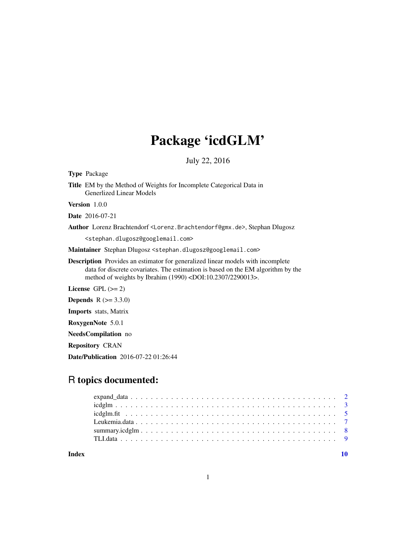## Package 'icdGLM'

July 22, 2016

<span id="page-0-0"></span>Type Package Title EM by the Method of Weights for Incomplete Categorical Data in Generlized Linear Models Version 1.0.0 Date 2016-07-21 Author Lorenz Brachtendorf <Lorenz.Brachtendorf@gmx.de>, Stephan Dlugosz <stephan.dlugosz@googlemail.com> Maintainer Stephan Dlugosz <stephan.dlugosz@googlemail.com> Description Provides an estimator for generalized linear models with incomplete data for discrete covariates. The estimation is based on the EM algorithm by the method of weights by Ibrahim (1990) <DOI:10.2307/2290013>. License GPL  $(>= 2)$ 

**Depends** R  $(>= 3.3.0)$ 

Imports stats, Matrix

RoxygenNote 5.0.1

NeedsCompilation no

Repository CRAN

Date/Publication 2016-07-22 01:26:44

### R topics documented:

 $\blacksquare$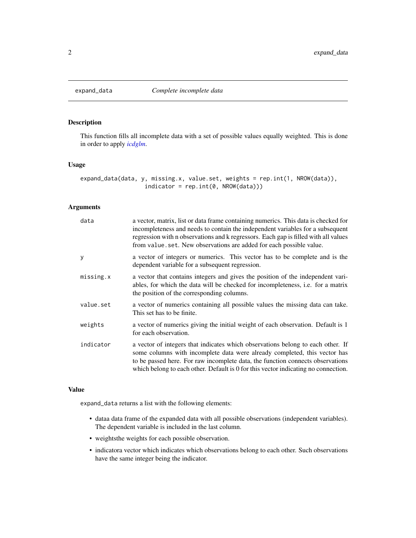<span id="page-1-1"></span><span id="page-1-0"></span>

#### Description

This function fills all incomplete data with a set of possible values equally weighted. This is done in order to apply *[icdglm](#page-2-1)*.

#### Usage

expand\_data(data, y, missing.x, value.set, weights = rep.int(1, NROW(data)), indicator = rep.int(0, NROW(data)))

#### Arguments

| data      | a vector, matrix, list or data frame containing numerics. This data is checked for<br>incompleteness and needs to contain the independent variables for a subsequent<br>regression with n observations and k regressors. Each gap is filled with all values<br>from value.set. New observations are added for each possible value.   |
|-----------|--------------------------------------------------------------------------------------------------------------------------------------------------------------------------------------------------------------------------------------------------------------------------------------------------------------------------------------|
| y         | a vector of integers or numerics. This vector has to be complete and is the<br>dependent variable for a subsequent regression.                                                                                                                                                                                                       |
| missing.x | a vector that contains integers and gives the position of the independent vari-<br>ables, for which the data will be checked for incompleteness, i.e. for a matrix<br>the position of the corresponding columns.                                                                                                                     |
| value.set | a vector of numerics containing all possible values the missing data can take.<br>This set has to be finite.                                                                                                                                                                                                                         |
| weights   | a vector of numerics giving the initial weight of each observation. Default is 1<br>for each observation.                                                                                                                                                                                                                            |
| indicator | a vector of integers that indicates which observations belong to each other. If<br>some columns with incomplete data were already completed, this vector has<br>to be passed here. For raw incomplete data, the function connects observations<br>which belong to each other. Default is 0 for this vector indicating no connection. |

#### Value

expand\_data returns a list with the following elements:

- dataa data frame of the expanded data with all possible observations (independent variables). The dependent variable is included in the last column.
- weightsthe weights for each possible observation.
- indicatora vector which indicates which observations belong to each other. Such observations have the same integer being the indicator.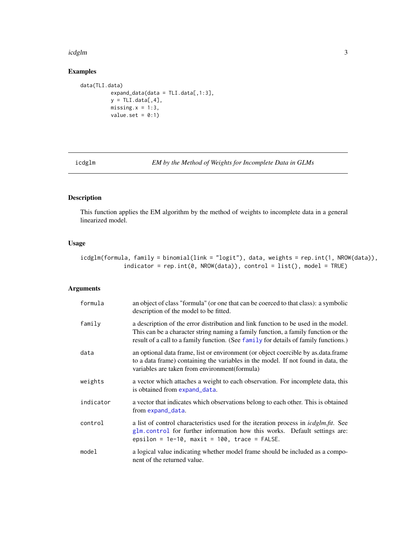#### <span id="page-2-0"></span>icdglm 3

#### Examples

```
data(TLI.data)
         expand_data(data = TLI.data[, 1:3],y = TLI.data[, 4],missing.x = 1:3,
         value.set = 0:1)
```
<span id="page-2-1"></span>

icdglm *EM by the Method of Weights for Incomplete Data in GLMs*

#### Description

This function applies the EM algorithm by the method of weights to incomplete data in a general linearized model.

#### Usage

icdglm(formula, family = binomial(link = "logit"), data, weights = rep.int(1, NROW(data)), indicator = rep.int(0, NROW(data)), control = list(), model = TRUE)

#### Arguments

| formula   | an object of class "formula" (or one that can be coerced to that class): a symbolic<br>description of the model to be fitted.                                                                                                                                   |
|-----------|-----------------------------------------------------------------------------------------------------------------------------------------------------------------------------------------------------------------------------------------------------------------|
| family    | a description of the error distribution and link function to be used in the model.<br>This can be a character string naming a family function, a family function or the<br>result of a call to a family function. (See family for details of family functions.) |
| data      | an optional data frame, list or environment (or object coercible by as data frame<br>to a data frame) containing the variables in the model. If not found in data, the<br>variables are taken from environment (formula)                                        |
| weights   | a vector which attaches a weight to each observation. For incomplete data, this<br>is obtained from expand_data.                                                                                                                                                |
| indicator | a vector that indicates which observations belong to each other. This is obtained<br>from expand_data.                                                                                                                                                          |
| control   | a list of control characteristics used for the iteration process in <i>icdglm.fit.</i> See<br>glm.control for further information how this works. Default settings are:<br>epsilon = $1e-10$ , maxit = $100$ , trace = FALSE.                                   |
| model     | a logical value indicating whether model frame should be included as a compo-<br>nent of the returned value.                                                                                                                                                    |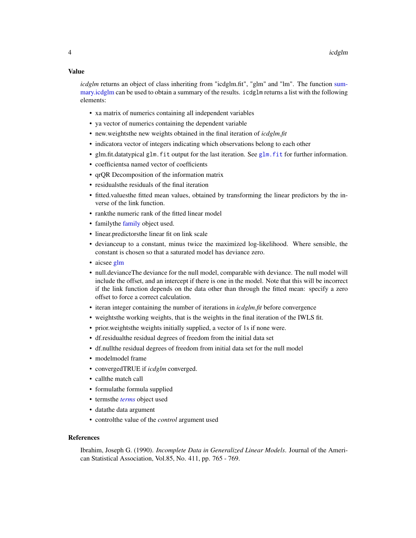#### <span id="page-3-0"></span>Value

*icdglm* returns an object of class inheriting from "icdglm.fit", "glm" and "lm". The function [sum](#page-7-1)[mary.icdglm](#page-7-1) can be used to obtain a summary of the results. icdglm returns a list with the following elements:

- xa matrix of numerics containing all independent variables
- ya vector of numerics containing the dependent variable
- new.weightsthe new weights obtained in the final iteration of *icdglm.fit*
- indicatora vector of integers indicating which observations belong to each other
- [glm.fit](#page-0-0).datatypical glm. fit output for the last iteration. See glm. fit for further information.
- coefficientsa named vector of coefficients
- qrQR Decomposition of the information matrix
- residualsthe residuals of the final iteration
- fitted.valuesthe fitted mean values, obtained by transforming the linear predictors by the inverse of the link function.
- rankthe numeric rank of the fitted linear model
- [family](#page-0-0)the family object used.
- linear.predictorsthe linear fit on link scale
- devianceup to a constant, minus twice the maximized log-likelihood. Where sensible, the constant is chosen so that a saturated model has deviance zero.
- aicsee [glm](#page-0-0)
- null.devianceThe deviance for the null model, comparable with deviance. The null model will include the offset, and an intercept if there is one in the model. Note that this will be incorrect if the link function depends on the data other than through the fitted mean: specify a zero offset to force a correct calculation.
- iteran integer containing the number of iterations in *icdglm.fit* before convergence
- weightsthe working weights, that is the weights in the final iteration of the IWLS fit.
- prior.weightsthe weights initially supplied, a vector of 1s if none were.
- df.residualthe residual degrees of freedom from the initial data set
- df.nullthe residual degrees of freedom from initial data set for the null model
- modelmodel frame
- convergedTRUE if *icdglm* converged.
- callthe match call
- formulathe formula supplied
- termsthe *[terms](#page-0-0)* object used
- datathe data argument
- controlthe value of the *control* argument used

#### References

Ibrahim, Joseph G. (1990). *Incomplete Data in Generalized Linear Models*. Journal of the American Statistical Association, Vol.85, No. 411, pp. 765 - 769.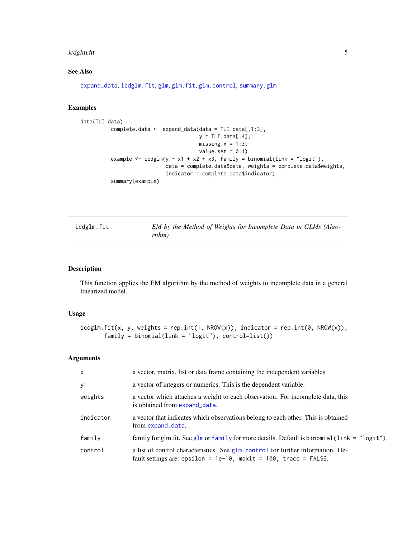#### <span id="page-4-0"></span>icdglm.fit 55 September 2014 1996 September 2014 1997 September 2014 1997 September 2014 1997 September 2014 S

#### See Also

[expand\\_data](#page-1-1), [icdglm.fit](#page-4-1), [glm](#page-0-0), [glm.fit](#page-0-0), [glm.control](#page-0-0), [summary.glm](#page-0-0)

#### Examples

```
data(TLI.data)
          complete.data <- expand_data(data = TLI.data[,1:3],
                                       y = TLI.data[, 4],missing.x = 1:3,
                                       value.set = 0:1)
          example <- icdglm(y \sim x1 + x2 + x3, family = binomial(link = "logit"),
                            data = complete.data$data, weights = complete.data$weights,
                            indicator = complete.data$indicator)
          summary(example)
```
<span id="page-4-1"></span>

| icdglm.fit | EM by the Method of Weights for Incomplete Data in GLMs (Algo- |
|------------|----------------------------------------------------------------|
|            | rithm)                                                         |

#### Description

This function applies the EM algorithm by the method of weights to incomplete data in a general linearized model.

#### Usage

```
icdglm.fit(x, y, weights = rep.int(1, NROW(x)), indicator = rep.int(0, NROW(x)),family = binomial(link = "logit"), control=list())
```
#### Arguments

| $\times$  | a vector, matrix, list or data frame containing the independent variables                                                                                  |
|-----------|------------------------------------------------------------------------------------------------------------------------------------------------------------|
| У         | a vector of integers or numerics. This is the dependent variable.                                                                                          |
| weights   | a vector which attaches a weight to each observation. For incomplete data, this<br>is obtained from expand_data.                                           |
| indicator | a vector that indicates which observations belong to each other. This is obtained<br>from expand_data.                                                     |
| family    | family for glm.fit. See glm or family for more details. Default is binomial (link = $"logit"$ ).                                                           |
| control   | a list of control characteristics. See glm. control for further information. De-<br>fault settings are: epsilon = $1e-10$ , maxit = $100$ , trace = FALSE. |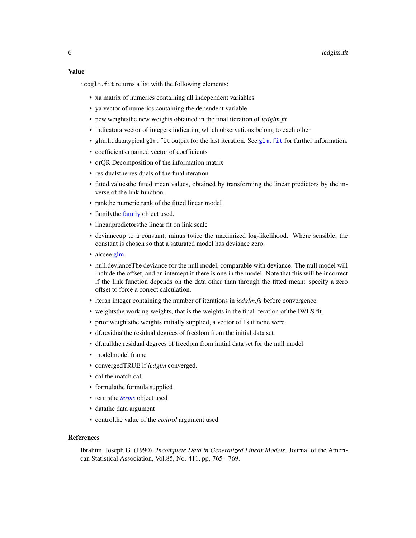<span id="page-5-0"></span>icdglm. fit returns a list with the following elements:

- xa matrix of numerics containing all independent variables
- ya vector of numerics containing the dependent variable
- new.weightsthe new weights obtained in the final iteration of *icdglm.fit*
- indicatora vector of integers indicating which observations belong to each other
- glm.fit.datatypical glm.fit output for the last iteration. See [glm.fit](#page-0-0) for further information.
- coefficientsa named vector of coefficients
- qrQR Decomposition of the information matrix
- residualsthe residuals of the final iteration
- fitted.valuesthe fitted mean values, obtained by transforming the linear predictors by the inverse of the link function.
- rankthe numeric rank of the fitted linear model
- [family](#page-0-0)the family object used.
- linear.predictorsthe linear fit on link scale
- devianceup to a constant, minus twice the maximized log-likelihood. Where sensible, the constant is chosen so that a saturated model has deviance zero.
- aicsee [glm](#page-0-0)
- null.devianceThe deviance for the null model, comparable with deviance. The null model will include the offset, and an intercept if there is one in the model. Note that this will be incorrect if the link function depends on the data other than through the fitted mean: specify a zero offset to force a correct calculation.
- iteran integer containing the number of iterations in *icdglm.fit* before convergence
- weightsthe working weights, that is the weights in the final iteration of the IWLS fit.
- prior. weights the weights initially supplied, a vector of 1s if none were.
- df.residualthe residual degrees of freedom from the initial data set
- df.nullthe residual degrees of freedom from initial data set for the null model
- modelmodel frame
- convergedTRUE if *icdglm* converged.
- callthe match call
- formulathe formula supplied
- termsthe *[terms](#page-0-0)* object used
- datathe data argument
- controlthe value of the *control* argument used

#### References

Ibrahim, Joseph G. (1990). *Incomplete Data in Generalized Linear Models*. Journal of the American Statistical Association, Vol.85, No. 411, pp. 765 - 769.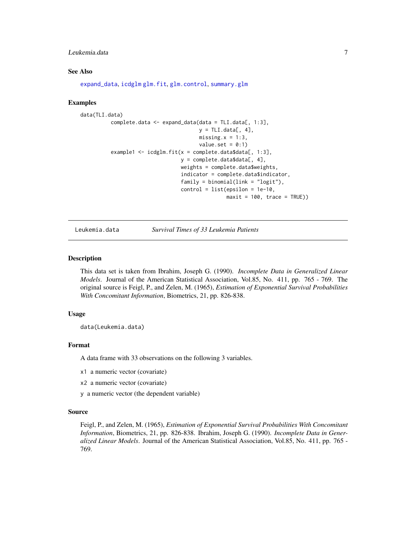#### <span id="page-6-0"></span>Leukemia.data 7

#### See Also

[expand\\_data](#page-1-1), [icdglm](#page-2-1) [glm.fit](#page-0-0), [glm.control](#page-0-0), [summary.glm](#page-0-0)

#### Examples

```
data(TLI.data)
          complete.data <- expand_data(data = TLI.data[, 1:3],
                                       y = TLI.data[, 4],missing.x = 1:3,
                                       value.set = 0:1)
          example1 <- icdglm.fit(x = complete.data$data[, 1:3],
                                 y = complete.data$data[, 4],
                                 weights = complete.data$weights,
                                 indicator = complete.data$indicator,
                                 family = binomial(link = "logit"),
                                 control = list(epsilon = 1e-10,maxit = 100, trace = TRUE)
```
Leukemia.data *Survival Times of 33 Leukemia Patients*

#### Description

This data set is taken from Ibrahim, Joseph G. (1990). *Incomplete Data in Generalized Linear Models*. Journal of the American Statistical Association, Vol.85, No. 411, pp. 765 - 769. The original source is Feigl, P., and Zelen, M. (1965), *Estimation of Exponential Survival Probabilities With Concomitant Information*, Biometrics, 21, pp. 826-838.

#### Usage

data(Leukemia.data)

#### Format

A data frame with 33 observations on the following 3 variables.

- x1 a numeric vector (covariate)
- x2 a numeric vector (covariate)
- y a numeric vector (the dependent variable)

#### Source

Feigl, P., and Zelen, M. (1965), *Estimation of Exponential Survival Probabilities With Concomitant Information*, Biometrics, 21, pp. 826-838. Ibrahim, Joseph G. (1990). *Incomplete Data in Generalized Linear Models*. Journal of the American Statistical Association, Vol.85, No. 411, pp. 765 - 769.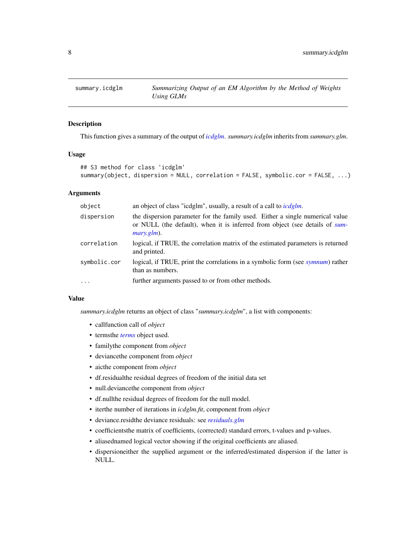<span id="page-7-1"></span><span id="page-7-0"></span>

#### Description

This function gives a summary of the output of *[icdglm](#page-2-1)*. *summary.icdglm* inherits from *summary.glm*.

#### Usage

```
## S3 method for class 'icdglm'
summary(object, dispersion = NULL, correlation = FALSE, symbolic.cor = FALSE, ...)
```
#### Arguments

| object       | an object of class "icdglm", usually, a result of a call to <i>icdglm</i> .                                                                                                    |
|--------------|--------------------------------------------------------------------------------------------------------------------------------------------------------------------------------|
| dispersion   | the dispersion parameter for the family used. Either a single numerical value<br>or NULL (the default), when it is inferred from object (see details of sum-<br>$mary, glm$ ). |
| correlation  | logical, if TRUE, the correlation matrix of the estimated parameters is returned<br>and printed.                                                                               |
| symbolic.cor | logical, if TRUE, print the correlations in a symbolic form (see symnum) rather<br>than as numbers.                                                                            |
| $\cdots$     | further arguments passed to or from other methods.                                                                                                                             |

#### Value

*summary.icdglm* returns an object of class "*summary.icdglm*", a list with components:

- callfunction call of *object*
- termsthe *[terms](#page-0-0)* object used.
- familythe component from *object*
- deviancethe component from *object*
- aicthe component from *object*
- df.residualthe residual degrees of freedom of the initial data set
- null.deviancethe component from *object*
- df.nullthe residual degrees of freedom for the null model.
- iterthe number of iterations in *icdglm.fit*, component from *object*
- deviance.residthe deviance residuals: see *[residuals.glm](#page-0-0)*
- coefficientsthe matrix of coefficients, (corrected) standard errors, t-values and p-values.
- aliasednamed logical vector showing if the original coefficients are aliased.
- dispersioneither the supplied argument or the inferred/estimated dispersion if the latter is NULL.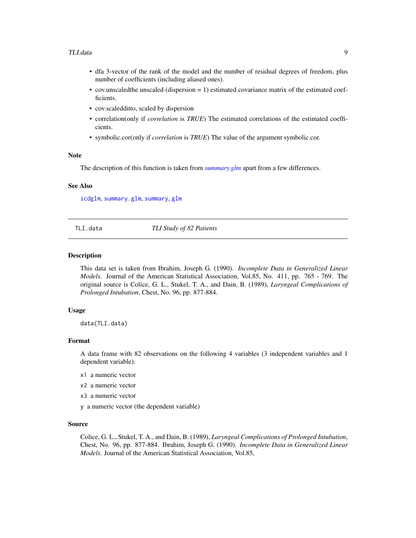#### <span id="page-8-0"></span>TLI.data 9

- dfa 3-vector of the rank of the model and the number of residual degrees of freedom, plus number of coefficients (including aliased ones).
- cov.unscaledthe unscaled (dispersion = 1) estimated covariance matrix of the estimated coefficients.
- cov.scaledditto, scaled by dispersion
- correlation(only if *correlation* is *TRUE*) The estimated correlations of the estimated coefficients.
- symbolic.cor(only if *correlation* is *TRUE*) The value of the argument symbolic.cor.

#### Note

The description of this function is taken from *[summary.glm](#page-0-0)* apart from a few differences.

#### See Also

[icdglm](#page-2-1), [summary.glm](#page-0-0), [summary](#page-0-0), [glm](#page-0-0)

TLI.data *TLI Study of 82 Patients*

#### **Description**

This data set is taken from Ibrahim, Joseph G. (1990). *Incomplete Data in Generalized Linear Models*. Journal of the American Statistical Association, Vol.85, No. 411, pp. 765 - 769. The original source is Colice, G. L., Stukel, T. A., and Dain, B. (1989), *Laryngeal Complications of Prolonged Intubation*, Chest, No. 96, pp. 877-884.

#### Usage

data(TLI.data)

#### Format

A data frame with 82 observations on the following 4 variables (3 independent variables and 1 dependent variable).

- x1 a numeric vector
- x2 a numeric vector
- x3 a numeric vector
- y a numeric vector (the dependent variable)

#### Source

Colice, G. L., Stukel, T. A., and Dain, B. (1989), *Laryngeal Complications of Prolonged Intubation*, Chest, No. 96, pp. 877-884. Ibrahim, Joseph G. (1990). *Incomplete Data in Generalized Linear Models*. Journal of the American Statistical Association, Vol.85,